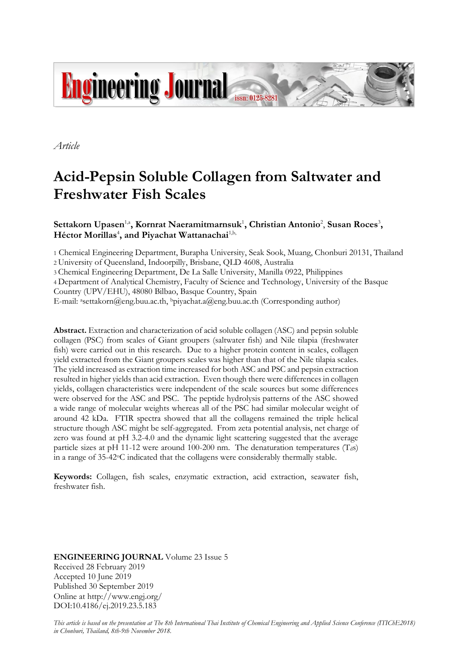

*Article*

# **Acid-Pepsin Soluble Collagen from Saltwater and Freshwater Fish Scales**

# $\mathbf{S}$ ettakorn Upasen<sup>1,a</sup>, Kornrat Naeramitmarnsuk<sup>1</sup>, Christian Antonio<sup>2</sup>, Susan Roces<sup>3</sup>,  $\bm{\mathrm{H}}$ éctor Morillas<sup>4</sup>, and Piyachat Wattanachai<sup>1,b,</sup>

1 Chemical Engineering Department, Burapha University, Seak Sook, Muang, Chonburi 20131, Thailand 2 University of Queensland, Indoorpilly, Brisbane, QLD 4608, Australia

3 Chemical Engineering Department, De La Salle University, Manilla 0922, Philippines

4 Department of Analytical Chemistry, Faculty of Science and Technology, University of the Basque Country (UPV/EHU), 48080 Bilbao, Basque Country, Spain

E-mail: asettakorn@eng.buu.ac.th, bpiyachat.a@eng.buu.ac.th (Corresponding author)

**Abstract.** Extraction and characterization of acid soluble collagen (ASC) and pepsin soluble collagen (PSC) from scales of Giant groupers (saltwater fish) and Nile tilapia (freshwater fish) were carried out in this research. Due to a higher protein content in scales, collagen yield extracted from the Giant groupers scales was higher than that of the Nile tilapia scales. The yield increased as extraction time increased for both ASC and PSC and pepsin extraction resulted in higher yields than acid extraction. Even though there were differences in collagen yields, collagen characteristics were independent of the scale sources but some differences were observed for the ASC and PSC. The peptide hydrolysis patterns of the ASC showed a wide range of molecular weights whereas all of the PSC had similar molecular weight of around 42 kDa. FTIR spectra showed that all the collagens remained the triple helical structure though ASC might be self-aggregated. From zeta potential analysis, net charge of zero was found at pH 3.2-4.0 and the dynamic light scattering suggested that the average particle sizes at pH 11-12 were around 100-200 nm. The denaturation temperatures  $(T_{dS})$ in a range of  $35-42^{\circ}$ C indicated that the collagens were considerably thermally stable.

**Keywords:** Collagen, fish scales, enzymatic extraction, acid extraction, seawater fish, freshwater fish.

**ENGINEERING JOURNAL** Volume 23 Issue 5 Received 28 February 2019 Accepted 10 June 2019 Published 30 September 2019 Online at http://www.engj.org/ DOI:10.4186/ej.2019.23.5.183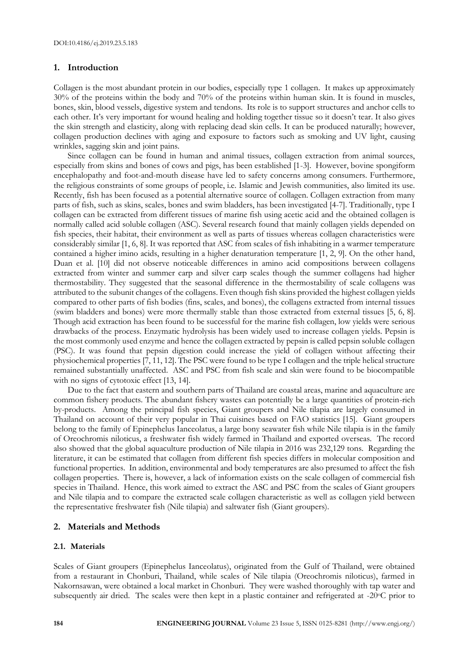## **1. Introduction**

Collagen is the most abundant protein in our bodies, especially type 1 collagen. It makes up approximately 30% of the proteins within the body and 70% of the proteins within human skin. It is found in muscles, bones, skin, blood vessels, digestive system and tendons. Its role is to support structures and anchor cells to each other. It's very important for wound healing and holding together tissue so it doesn't tear. It also gives the skin strength and elasticity, along with replacing dead skin cells. It can be produced naturally; however, collagen production declines with aging and exposure to factors such as smoking and UV light, causing wrinkles, sagging skin and joint pains.

Since collagen can be found in human and animal tissues, collagen extraction from animal sources, especially from skins and bones of cows and pigs, has been established [1-3]. However, bovine spongiform encephalopathy and foot-and-mouth disease have led to safety concerns among consumers. Furthermore, the religious constraints of some groups of people, i.e. Islamic and Jewish communities, also limited its use. Recently, fish has been focused as a potential alternative source of collagen. Collagen extraction from many parts of fish, such as skins, scales, bones and swim bladders, has been investigated [4-7]. Traditionally, type I collagen can be extracted from different tissues of marine fish using acetic acid and the obtained collagen is normally called acid soluble collagen (ASC). Several research found that mainly collagen yields depended on fish species, their habitat, their environment as well as parts of tissues whereas collagen characteristics were considerably similar [1, 6, 8]. It was reported that ASC from scales of fish inhabiting in a warmer temperature contained a higher imino acids, resulting in a higher denaturation temperature [1, 2, 9]. On the other hand, Duan et al. [10] did not observe noticeable differences in amino acid compositions between collagens extracted from winter and summer carp and silver carp scales though the summer collagens had higher thermostability. They suggested that the seasonal difference in the thermostability of scale collagens was attributed to the subunit changes of the collagens. Even though fish skins provided the highest collagen yields compared to other parts of fish bodies (fins, scales, and bones), the collagens extracted from internal tissues (swim bladders and bones) were more thermally stable than those extracted from external tissues [5, 6, 8]. Though acid extraction has been found to be successful for the marine fish collagen, low yields were serious drawbacks of the process. Enzymatic hydrolysis has been widely used to increase collagen yields. Pepsin is the most commonly used enzyme and hence the collagen extracted by pepsin is called pepsin soluble collagen (PSC). It was found that pepsin digestion could increase the yield of collagen without affecting their physiochemical properties [7, 11, 12]. The PSC were found to be type I collagen and the triple helical structure remained substantially unaffected. ASC and PSC from fish scale and skin were found to be biocompatible with no signs of cytotoxic effect [13, 14].

Due to the fact that eastern and southern parts of Thailand are coastal areas, marine and aquaculture are common fishery products. The abundant fishery wastes can potentially be a large quantities of protein-rich by-products. Among the principal fish species, Giant groupers and Nile tilapia are largely consumed in Thailand on account of their very popular in Thai cuisines based on FAO statistics [15]. Giant groupers belong to the family of Epinephelus Ianceolatus, a large bony seawater fish while Nile tilapia is in the family of Oreochromis niloticus, a freshwater fish widely farmed in Thailand and exported overseas. The record also showed that the global aquaculture production of Nile tilapia in 2016 was 232,129 tons. Regarding the literature, it can be estimated that collagen from different fish species differs in molecular composition and functional properties. In addition, environmental and body temperatures are also presumed to affect the fish collagen properties. There is, however, a lack of information exists on the scale collagen of commercial fish species in Thailand. Hence, this work aimed to extract the ASC and PSC from the scales of Giant groupers and Nile tilapia and to compare the extracted scale collagen characteristic as well as collagen yield between the representative freshwater fish (Nile tilapia) and saltwater fish (Giant groupers).

## **2. Materials and Methods**

## **2.1. Materials**

Scales of Giant groupers (Epinephelus Ianceolatus), originated from the Gulf of Thailand, were obtained from a restaurant in Chonburi, Thailand, while scales of Nile tilapia (Oreochromis niloticus), farmed in Nakornsawan, were obtained a local market in Chonburi. They were washed thoroughly with tap water and subsequently air dried. The scales were then kept in a plastic container and refrigerated at -20°C prior to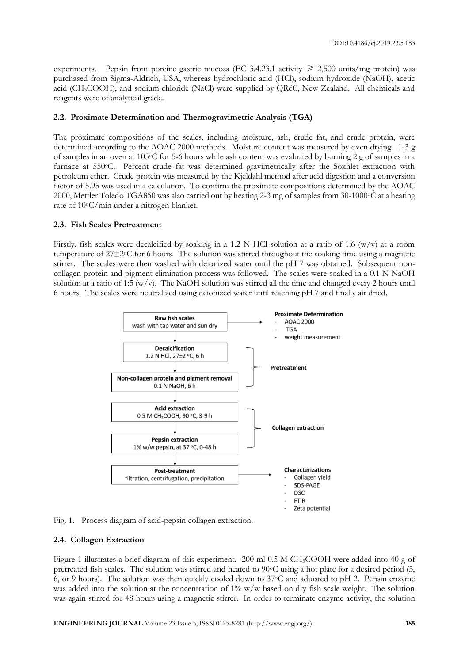experiments. Pepsin from porcine gastric mucosa (EC 3.4.23.1 activity  $\geq 2,500$  units/mg protein) was purchased from Sigma-Aldrich, USA, whereas hydrochloric acid (HCl), sodium hydroxide (NaOH), acetic acid (CH3COOH), and sodium chloride (NaCl) were supplied by QRëC, New Zealand. All chemicals and reagents were of analytical grade.

# **2.2. Proximate Determination and Thermogravimetric Analysis (TGA)**

The proximate compositions of the scales, including moisture, ash, crude fat, and crude protein, were determined according to the AOAC 2000 methods. Moisture content was measured by oven drying. 1-3 g of samples in an oven at 105oC for 5-6 hours while ash content was evaluated by burning 2 g of samples in a furnace at 550oC. Percent crude fat was determined gravimetrically after the Soxhlet extraction with petroleum ether. Crude protein was measured by the Kjeldahl method after acid digestion and a conversion factor of 5.95 was used in a calculation. To confirm the proximate compositions determined by the AOAC 2000, Mettler Toledo TGA850 was also carried out by heating 2-3 mg of samples from 30-1000oC at a heating rate of 10oC/min under a nitrogen blanket.

# **2.3. Fish Scales Pretreatment**

Firstly, fish scales were decalcified by soaking in a 1.2 N HCl solution at a ratio of 1:6 (w/v) at a room temperature of  $27\pm2\degree$ C for 6 hours. The solution was stirred throughout the soaking time using a magnetic stirrer. The scales were then washed with deionized water until the pH 7 was obtained. Subsequent noncollagen protein and pigment elimination process was followed. The scales were soaked in a 0.1 N NaOH solution at a ratio of 1:5 (w/v). The NaOH solution was stirred all the time and changed every 2 hours until 6 hours. The scales were neutralized using deionized water until reaching pH 7 and finally air dried.





# **2.4. Collagen Extraction**

Figure 1 illustrates a brief diagram of this experiment. 200 ml 0.5 M CH3COOH were added into 40 g of pretreated fish scales. The solution was stirred and heated to  $90^{\circ}$ C using a hot plate for a desired period (3, 6, or 9 hours). The solution was then quickly cooled down to  $37^{\circ}$ C and adjusted to pH 2. Pepsin enzyme was added into the solution at the concentration of 1% w/w based on dry fish scale weight. The solution was again stirred for 48 hours using a magnetic stirrer. In order to terminate enzyme activity, the solution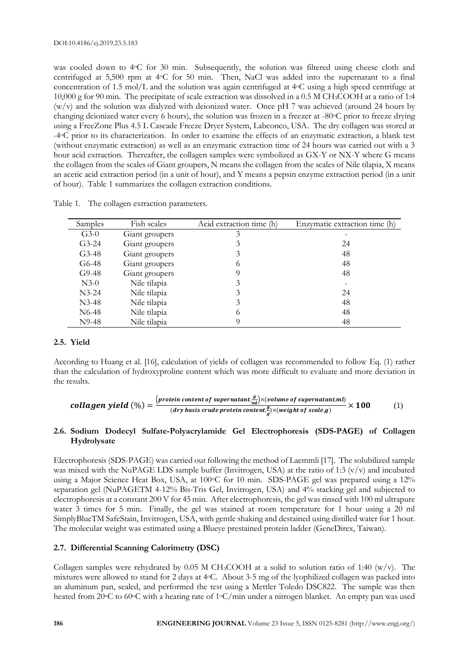was cooled down to 4 $\degree$ C for 30 min. Subsequently, the solution was filtered using cheese cloth and centrifuged at 5,500 rpm at 4oC for 50 min. Then, NaCl was added into the supernatant to a final concentration of 1.5 mol/L and the solution was again centrifuged at 4oC using a high speed centrifuge at 10,000 g for 90 min. The precipitate of scale extraction was dissolved in a 0.5 M CH3COOH at a ratio of 1:4 (w/v) and the solution was dialyzed with deionized water. Once pH 7 was achieved (around 24 hours by changing deionized water every 6 hours), the solution was frozen in a freezer at -80°C prior to freeze drying using a FreeZone Plus 4.5 L Cascade Freeze Dryer System, Labconco, USA. The dry collagen was stored at -4oC prior to its characterization. In order to examine the effects of an enzymatic extraction, a blank test (without enzymatic extraction) as well as an enzymatic extraction time of 24 hours was carried out with a 3 hour acid extraction. Thereafter, the collagen samples were symbolized as GX-Y or NX-Y where G means the collagen from the scales of Giant groupers, N means the collagen from the scales of Nile tilapia, X means an acetic acid extraction period (in a unit of hour), and Y means a pepsin enzyme extraction period (in a unit of hour). Table 1 summarizes the collagen extraction conditions.

| Samples            | Fish scales    | Acid extraction time (h) | Enzymatic extraction time (h) |
|--------------------|----------------|--------------------------|-------------------------------|
| $G3-0$             | Giant groupers |                          |                               |
| $G3-24$            | Giant groupers |                          | 24                            |
| $G3-48$            | Giant groupers | 3                        | 48                            |
| G6-48              | Giant groupers | 6                        | 48                            |
| $G9-48$            | Giant groupers | 9                        | 48                            |
| $N3-0$             | Nile tilapia   | 3                        |                               |
| $N3-24$            | Nile tilapia   | 3                        | 24                            |
| $N3-48$            | Nile tilapia   | 3                        | 48                            |
| N <sub>6</sub> -48 | Nile tilapia   | 6                        | 48                            |
| $N9-48$            | Nile tilapia   |                          | 48                            |

Table 1. The collagen extraction parameters.

## **2.5. Yield**

According to Huang et al. [16], calculation of yields of collagen was recommended to follow Eq. (1) rather than the calculation of hydroxyproline content which was more difficult to evaluate and more deviation in the results.

$$
\text{collagen yield } (\%) = \frac{(\text{protein content of supernatant.}^g_{\text{ml}}) \times (\text{volume of supernatant.}^m)}{(\text{dry basis crude protein content.}^g_{\text{g}}) \times (\text{weight of scale.}g)} \times 100 \tag{1}
$$

# **2.6. Sodium Dodecyl Sulfate-Polyacrylamide Gel Electrophoresis (SDS-PAGE) of Collagen Hydrolysate**

Electrophoresis (SDS-PAGE) was carried out following the method of Laemmli [17]. The solubilized sample was mixed with the NuPAGE LDS sample buffer (Invitrogen, USA) at the ratio of 1:3 (v/v) and incubated using a Major Science Heat Box, USA, at 100 °C for 10 min. SDS-PAGE gel was prepared using a 12% separation gel (NuPAGETM 4-12% Bis-Tris Gel, Invitrogen, USA) and 4% stacking gel and subjected to electrophoresis at a constant 200 V for 45 min. After electrophoresis, the gel was rinsed with 100 ml ultrapure water 3 times for 5 min. Finally, the gel was stained at room temperature for 1 hour using a 20 ml SimplyBlueTM SafeStain, Invitrogen, USA, with gentle shaking and destained using distilled water for 1 hour. The molecular weight was estimated using a Blueye prestained protein ladder (GeneDirex, Taiwan).

## **2.7. Differential Scanning Calorimetry (DSC)**

Collagen samples were rehydrated by 0.05 M CH<sub>3</sub>COOH at a solid to solution ratio of 1:40 (w/v). The mixtures were allowed to stand for 2 days at 4oC. About 3-5 mg of the lyophilized collagen was packed into an aluminum pan, sealed, and performed the test using a Mettler Toledo DSC822. The sample was then heated from 20°C to 60°C with a heating rate of 1°C/min under a nitrogen blanket. An empty pan was used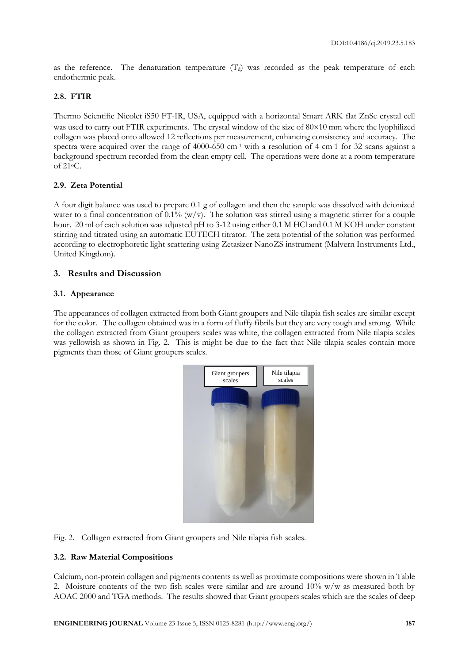as the reference. The denaturation temperature  $(T<sub>d</sub>)$  was recorded as the peak temperature of each endothermic peak.

# **2.8. FTIR**

Thermo Scientific Nicolet iS50 FT-IR, USA, equipped with a horizontal Smart ARK flat ZnSe crystal cell was used to carry out FTIR experiments. The crystal window of the size of  $80\times10$  mm where the lyophilized collagen was placed onto allowed 12 reflections per measurement, enhancing consistency and accuracy. The spectra were acquired over the range of  $4000-650$  cm<sup>-1</sup> with a resolution of 4 cm<sup>-1</sup> for 32 scans against a background spectrum recorded from the clean empty cell. The operations were done at a room temperature of 21oC.

# **2.9. Zeta Potential**

A four digit balance was used to prepare 0.1 g of collagen and then the sample was dissolved with deionized water to a final concentration of  $0.1\%$  (w/v). The solution was stirred using a magnetic stirrer for a couple hour. 20 ml of each solution was adjusted pH to 3-12 using either 0.1 M HCl and 0.1 M KOH under constant stirring and titrated using an automatic EUTECH titrator. The zeta potential of the solution was performed according to electrophoretic light scattering using Zetasizer NanoZS instrument (Malvern Instruments Ltd., United Kingdom).

# **3. Results and Discussion**

# **3.1. Appearance**

The appearances of collagen extracted from both Giant groupers and Nile tilapia fish scales are similar except for the color. The collagen obtained was in a form of fluffy fibrils but they are very tough and strong. While the collagen extracted from Giant groupers scales was white, the collagen extracted from Nile tilapia scales was yellowish as shown in Fig. 2. This is might be due to the fact that Nile tilapia scales contain more pigments than those of Giant groupers scales.



Fig. 2. Collagen extracted from Giant groupers and Nile tilapia fish scales.

# **3.2. Raw Material Compositions**

Calcium, non-protein collagen and pigments contents as well as proximate compositions were shown in Table 2. Moisture contents of the two fish scales were similar and are around  $10\%$  w/w as measured both by AOAC 2000 and TGA methods. The results showed that Giant groupers scales which are the scales of deep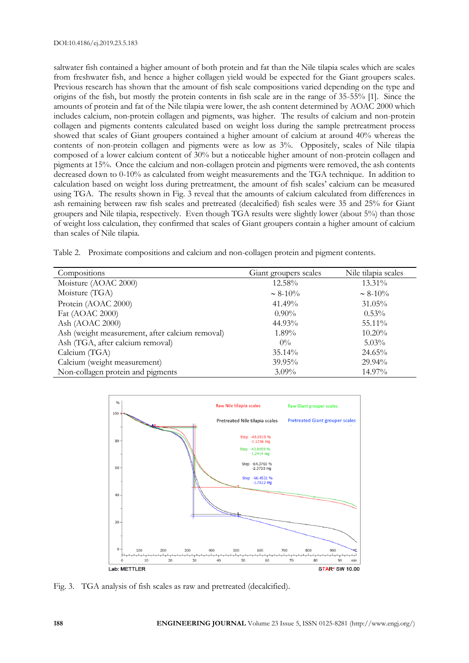saltwater fish contained a higher amount of both protein and fat than the Nile tilapia scales which are scales from freshwater fish, and hence a higher collagen yield would be expected for the Giant groupers scales. Previous research has shown that the amount of fish scale compositions varied depending on the type and origins of the fish, but mostly the protein contents in fish scale are in the range of 35-55% [1]. Since the amounts of protein and fat of the Nile tilapia were lower, the ash content determined by AOAC 2000 which includes calcium, non-protein collagen and pigments, was higher. The results of calcium and non-protein collagen and pigments contents calculated based on weight loss during the sample pretreatment process showed that scales of Giant groupers contained a higher amount of calcium at around 40% whereas the contents of non-protein collagen and pigments were as low as 3%. Oppositely, scales of Nile tilapia composed of a lower calcium content of 30% but a noticeable higher amount of non-protein collagen and pigments at 15%. Once the calcium and non-collagen protein and pigments were removed, the ash contents decreased down to 0-10% as calculated from weight measurements and the TGA technique. In addition to calculation based on weight loss during pretreatment, the amount of fish scales' calcium can be measured using TGA. The results shown in Fig. 3 reveal that the amounts of calcium calculated from differences in ash remaining between raw fish scales and pretreated (decalcified) fish scales were 35 and 25% for Giant groupers and Nile tilapia, respectively. Even though TGA results were slightly lower (about 5%) than those of weight loss calculation, they confirmed that scales of Giant groupers contain a higher amount of calcium than scales of Nile tilapia.

Table 2. Proximate compositions and calcium and non-collagen protein and pigment contents.

| Compositions                                    | Giant groupers scales | Nile tilapia scales |
|-------------------------------------------------|-----------------------|---------------------|
| Moisture (AOAC 2000)                            | $12.58\%$             | 13.31%              |
| Moisture (TGA)                                  | $\sim 8-10\%$         | $\sim 8-10\%$       |
| Protein (AOAC 2000)                             | 41.49%                | $31.05\%$           |
| Fat (AOAC 2000)                                 | $0.90\%$              | $0.53\%$            |
| Ash (AOAC 2000)                                 | 44.93%                | 55.11%              |
| Ash (weight measurement, after calcium removal) | $1.89\%$              | $10.20\%$           |
| Ash (TGA, after calcium removal)                | $0\%$                 | $5.03\%$            |
| Calcium (TGA)                                   | $35.14\%$             | $24.65\%$           |
| Calcium (weight measurement)                    | $39.95\%$             | $29.94\%$           |
| Non-collagen protein and pigments               | $3.09\%$              | 14.97%              |



Fig. 3. TGA analysis of fish scales as raw and pretreated (decalcified).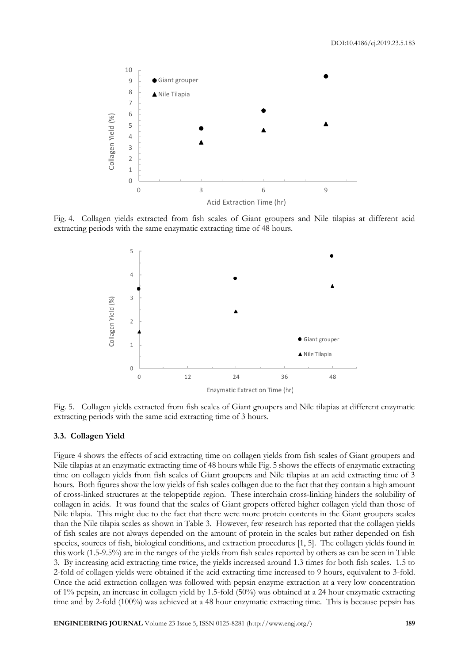

Fig. 4. Collagen yields extracted from fish scales of Giant groupers and Nile tilapias at different acid extracting periods with the same enzymatic extracting time of 48 hours.



Fig. 5. Collagen yields extracted from fish scales of Giant groupers and Nile tilapias at different enzymatic extracting periods with the same acid extracting time of 3 hours.

## **3.3. Collagen Yield**

Figure 4 shows the effects of acid extracting time on collagen yields from fish scales of Giant groupers and Nile tilapias at an enzymatic extracting time of 48 hours while Fig. 5 shows the effects of enzymatic extracting time on collagen yields from fish scales of Giant groupers and Nile tilapias at an acid extracting time of 3 hours. Both figures show the low yields of fish scales collagen due to the fact that they contain a high amount of cross-linked structures at the telopeptide region. These interchain cross-linking hinders the solubility of collagen in acids. It was found that the scales of Giant gropers offered higher collagen yield than those of Nile tilapia. This might due to the fact that there were more protein contents in the Giant groupers scales than the Nile tilapia scales as shown in Table 3. However, few research has reported that the collagen yields of fish scales are not always depended on the amount of protein in the scales but rather depended on fish species, sources of fish, biological conditions, and extraction procedures [1, 5]. The collagen yields found in this work (1.5-9.5%) are in the ranges of the yields from fish scales reported by others as can be seen in Table 3. By increasing acid extracting time twice, the yields increased around 1.3 times for both fish scales. 1.5 to 2-fold of collagen yields were obtained if the acid extracting time increased to 9 hours, equivalent to 3-fold. Once the acid extraction collagen was followed with pepsin enzyme extraction at a very low concentration of 1% pepsin, an increase in collagen yield by 1.5-fold (50%) was obtained at a 24 hour enzymatic extracting time and by 2-fold (100%) was achieved at a 48 hour enzymatic extracting time. This is because pepsin has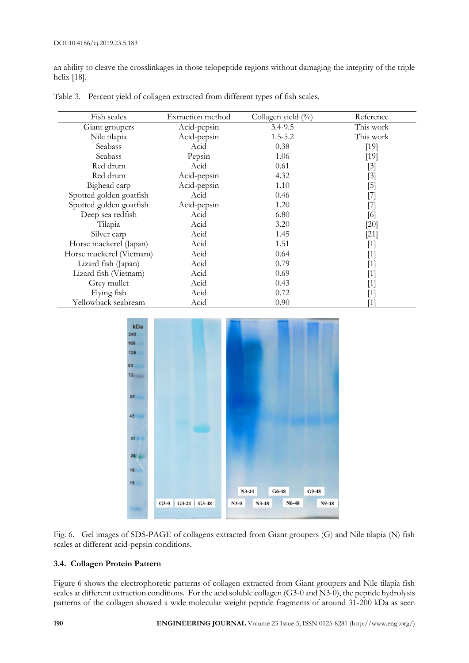an ability to cleave the crosslinkages in those telopeptide regions without damaging the integrity of the triple helix [18].

| Fish scales              | Extraction method | Collagen yield (%) | Reference                                                                                                                                                                                                                                                                                                                                                                                                                                                           |
|--------------------------|-------------------|--------------------|---------------------------------------------------------------------------------------------------------------------------------------------------------------------------------------------------------------------------------------------------------------------------------------------------------------------------------------------------------------------------------------------------------------------------------------------------------------------|
| Giant groupers           | Acid-pepsin       | $3.4 - 9.5$        | This work                                                                                                                                                                                                                                                                                                                                                                                                                                                           |
| Nile tilapia             | Acid-pepsin       | $1.5 - 5.2$        | This work                                                                                                                                                                                                                                                                                                                                                                                                                                                           |
| Seabass                  | Acid              | 0.38               | $[19]$                                                                                                                                                                                                                                                                                                                                                                                                                                                              |
| Seabass                  | Pepsin            | 1.06               | [19]                                                                                                                                                                                                                                                                                                                                                                                                                                                                |
| Red drum                 | Acid              | 0.61               | $[3]$                                                                                                                                                                                                                                                                                                                                                                                                                                                               |
| Red drum                 | Acid-pepsin       | 4.32               | [3]                                                                                                                                                                                                                                                                                                                                                                                                                                                                 |
| Bighead carp             | Acid-pepsin       | 1.10               | [5]                                                                                                                                                                                                                                                                                                                                                                                                                                                                 |
| Spotted golden goatfish  | Acid              | 0.46               | $\left[ 7\right]$                                                                                                                                                                                                                                                                                                                                                                                                                                                   |
| Spotted golden goatfish  | Acid-pepsin       | 1.20               | [7]                                                                                                                                                                                                                                                                                                                                                                                                                                                                 |
| Deep sea redfish         | Acid              | 6.80               | [6]                                                                                                                                                                                                                                                                                                                                                                                                                                                                 |
| Tilapia                  | Acid              | 3.20               | [20]                                                                                                                                                                                                                                                                                                                                                                                                                                                                |
| Silver carp              | Acid              | 1.45               | $[21]$                                                                                                                                                                                                                                                                                                                                                                                                                                                              |
| Horse mackerel (Japan)   | Acid              | 1.51               | $[1]$                                                                                                                                                                                                                                                                                                                                                                                                                                                               |
| Horse mackerel (Vietnam) | Acid              | 0.64               | $[1] % \centering \includegraphics[width=0.9\columnwidth]{figures/fig_2b.pdf} \caption{The graph $\mathcal{N}_1$ is a function of the parameter $\mathcal{N}_1$ and the number of parameter $\mathcal{N}_2$ is a function of the parameter $\mathcal{N}_1$ and the number of parameter $\mathcal{N}_2$ is a function of the parameter $\mathcal{N}_1$ and the number of parameter $\mathcal{N}_2$ is a function of the parameter $\mathcal{N}_1$.} \label{fig:box}$ |
| Lizard fish (Japan)      | Acid              | 0.79               | $[1] % \centering \includegraphics[width=0.9\columnwidth]{figures/fig_2b.pdf} \caption{The graph $\mathcal{N}_1$ is a function of the parameter $\mathcal{N}_1$ and the number of parameter $\mathcal{N}_2$ is a function of the parameter $\mathcal{N}_1$ and the number of parameter $\mathcal{N}_2$ is a function of the parameter $\mathcal{N}_1$ and the number of parameter $\mathcal{N}_2$ is a function of the parameter $\mathcal{N}_1$.} \label{fig:box}$ |
| Lizard fish (Vietnam)    | Acid              | 0.69               | $[1]$                                                                                                                                                                                                                                                                                                                                                                                                                                                               |
| Grey mullet              | Acid              | 0.43               | $[1]$                                                                                                                                                                                                                                                                                                                                                                                                                                                               |
| Flying fish              | Acid              | 0.72               | [1]                                                                                                                                                                                                                                                                                                                                                                                                                                                                 |
| Yellowback seabream      | Acid              | 0.90               | $\left  \right $                                                                                                                                                                                                                                                                                                                                                                                                                                                    |

Table 3. Percent yield of collagen extracted from different types of fish scales.





# **3.4. Collagen Protein Pattern**

Figure 6 shows the electrophoretic patterns of collagen extracted from Giant groupers and Nile tilapia fish scales at different extraction conditions. For the acid soluble collagen (G3-0 and N3-0), the peptide hydrolysis patterns of the collagen showed a wide molecular weight peptide fragments of around 31-200 kDa as seen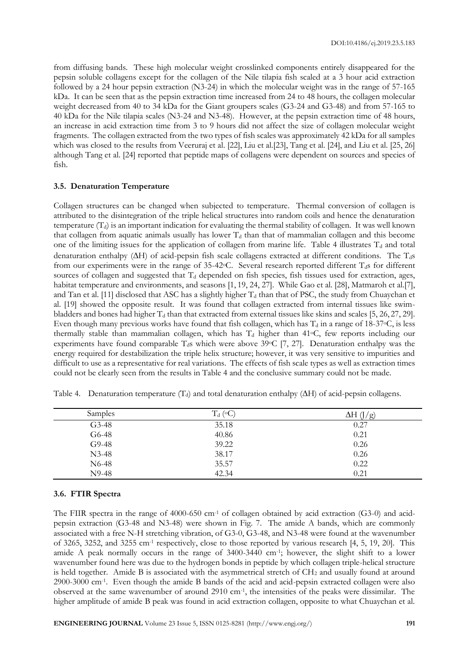from diffusing bands. These high molecular weight crosslinked components entirely disappeared for the pepsin soluble collagens except for the collagen of the Nile tilapia fish scaled at a 3 hour acid extraction followed by a 24 hour pepsin extraction (N3-24) in which the molecular weight was in the range of 57-165 kDa. It can be seen that as the pepsin extraction time increased from 24 to 48 hours, the collagen molecular weight decreased from 40 to 34 kDa for the Giant groupers scales (G3-24 and G3-48) and from 57-165 to 40 kDa for the Nile tilapia scales (N3-24 and N3-48). However, at the pepsin extraction time of 48 hours, an increase in acid extraction time from 3 to 9 hours did not affect the size of collagen molecular weight fragments. The collagen extracted from the two types of fish scales was approximately 42 kDa for all samples which was closed to the results from Veeruraj et al. [22], Liu et al.[23], Tang et al. [24], and Liu et al. [25, 26] although Tang et al. [24] reported that peptide maps of collagens were dependent on sources and species of fish.

## **3.5. Denaturation Temperature**

Collagen structures can be changed when subjected to temperature. Thermal conversion of collagen is attributed to the disintegration of the triple helical structures into random coils and hence the denaturation temperature  $(T_d)$  is an important indication for evaluating the thermal stability of collagen. It was well known that collagen from aquatic animals usually has lower  $T_d$  than that of mammalian collagen and this become one of the limiting issues for the application of collagen from marine life. Table 4 illustrates  $T<sub>d</sub>$  and total denaturation enthalpy ( $\Delta H$ ) of acid-pepsin fish scale collagens extracted at different conditions. The T<sub>d</sub>s from our experiments were in the range of 35-42 °C. Several research reported different  $T_d$ s for different sources of collagen and suggested that  $T_d$  depended on fish species, fish tissues used for extraction, ages, habitat temperature and environments, and seasons [1, 19, 24, 27]. While Gao et al. [28], Matmaroh et al.[7], and Tan et al. [11] disclosed that ASC has a slightly higher  $T_d$  than that of PSC, the study from Chuaychan et al. [19] showed the opposite result. It was found that collagen extracted from internal tissues like swimbladders and bones had higher  $T_d$  than that extracted from external tissues like skins and scales [5, 26, 27, 29]. Even though many previous works have found that fish collagen, which has  $T_d$  in a range of 18-37 $\degree$ C, is less thermally stable than mammalian collagen, which has  $T_d$  higher than 41°C, few reports including our experiments have found comparable  $T_d$ s which were above 39 $\circ$ C [7, 27]. Denaturation enthalpy was the energy required for destabilization the triple helix structure; however, it was very sensitive to impurities and difficult to use as a representative for real variations. The effects of fish scale types as well as extraction times could not be clearly seen from the results in Table 4 and the conclusive summary could not be made.

| Samples            | $T_d$ ( $\circ$ C) | $\frac{1}{2}$<br>ΔН |
|--------------------|--------------------|---------------------|
| $G3-48$            | 35.18              | 0.27                |
| G6-48              | 40.86              | 0.21                |
| $G9-48$            | 39.22              | 0.26                |
| $N3-48$            | 38.17              | 0.26                |
| N <sub>6</sub> -48 | 35.57              | 0.22                |
| N9-48              | 42.34              | 0.21                |

Table 4. Denaturation temperature  $(T_d)$  and total denaturation enthalpy ( $\Delta H$ ) of acid-pepsin collagens.

#### **3.6. FTIR Spectra**

The FIIR spectra in the range of 4000-650 cm<sup>-1</sup> of collagen obtained by acid extraction (G3-0) and acidpepsin extraction (G3-48 and N3-48) were shown in Fig. 7. The amide A bands, which are commonly associated with a free N-H stretching vibration, of G3-0, G3-48, and N3-48 were found at the wavenumber of 3265, 3252, and 3255 cm-1 respectively, close to those reported by various research [4, 5, 19, 20]. This amide A peak normally occurs in the range of 3400-3440 cm-1 ; however, the slight shift to a lower wavenumber found here was due to the hydrogen bonds in peptide by which collagen triple-helical structure is held together. Amide B is associated with the asymmetrical stretch of CH2 and usually found at around 2900-3000 cm-1 . Even though the amide B bands of the acid and acid-pepsin extracted collagen were also observed at the same wavenumber of around 2910 cm-1 , the intensities of the peaks were dissimilar. The higher amplitude of amide B peak was found in acid extraction collagen, opposite to what Chuaychan et al.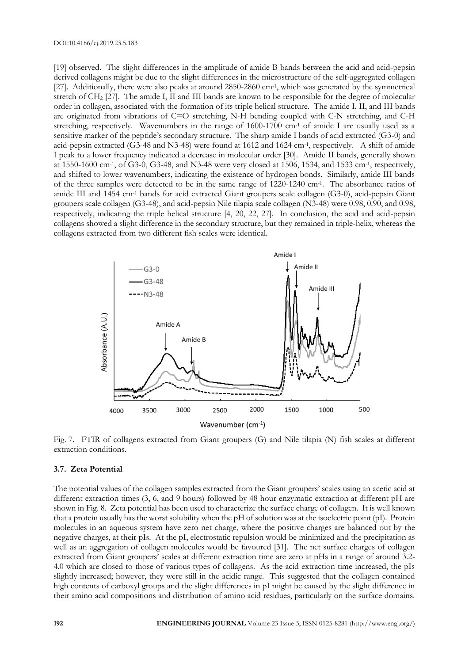[19] observed. The slight differences in the amplitude of amide B bands between the acid and acid-pepsin derived collagens might be due to the slight differences in the microstructure of the self-aggregated collagen [27]. Additionally, there were also peaks at around 2850-2860 cm-1 , which was generated by the symmetrical stretch of CH<sup>2</sup> [27]. The amide I, II and III bands are known to be responsible for the degree of molecular order in collagen, associated with the formation of its triple helical structure. The amide I, II, and III bands are originated from vibrations of C=O stretching, N-H bending coupled with C-N stretching, and C-H stretching, respectively. Wavenumbers in the range of 1600-1700 cm<sup>-1</sup> of amide I are usually used as a sensitive marker of the peptide's secondary structure. The sharp amide I bands of acid extracted (G3-0) and acid-pepsin extracted (G3-48 and N3-48) were found at 1612 and 1624 cm-1 , respectively. A shift of amide I peak to a lower frequency indicated a decrease in molecular order [30]. Amide II bands, generally shown at 1550-1600 cm-1 , of G3-0, G3-48, and N3-48 were very closed at 1506, 1534, and 1533 cm-1 , respectively, and shifted to lower wavenumbers, indicating the existence of hydrogen bonds. Similarly, amide III bands of the three samples were detected to be in the same range of 1220-1240 cm-1 . The absorbance ratios of amide III and 1454 cm-1 bands for acid extracted Giant groupers scale collagen (G3-0), acid-pepsin Giant groupers scale collagen (G3-48), and acid-pepsin Nile tilapia scale collagen (N3-48) were 0.98, 0.90, and 0.98, respectively, indicating the triple helical structure [4, 20, 22, 27]. In conclusion, the acid and acid-pepsin collagens showed a slight difference in the secondary structure, but they remained in triple-helix, whereas the collagens extracted from two different fish scales were identical.



Fig. 7. FTIR of collagens extracted from Giant groupers (G) and Nile tilapia (N) fish scales at different extraction conditions.

## **3.7. Zeta Potential**

The potential values of the collagen samples extracted from the Giant groupers' scales using an acetic acid at different extraction times (3, 6, and 9 hours) followed by 48 hour enzymatic extraction at different pH are shown in Fig. 8. Zeta potential has been used to characterize the surface charge of collagen. It is well known that a protein usually has the worst solubility when the pH of solution was at the isoelectric point (pI). Protein molecules in an aqueous system have zero net charge, where the positive charges are balanced out by the negative charges, at their pIs. At the pI, electrostatic repulsion would be minimized and the precipitation as well as an aggregation of collagen molecules would be favoured [31]. The net surface charges of collagen extracted from Giant groupers' scales at different extraction time are zero at pHs in a range of around 3.2- 4.0 which are closed to those of various types of collagens. As the acid extraction time increased, the pIs slightly increased; however, they were still in the acidic range. This suggested that the collagen contained high contents of carboxyl groups and the slight differences in pI might be caused by the slight difference in their amino acid compositions and distribution of amino acid residues, particularly on the surface domains.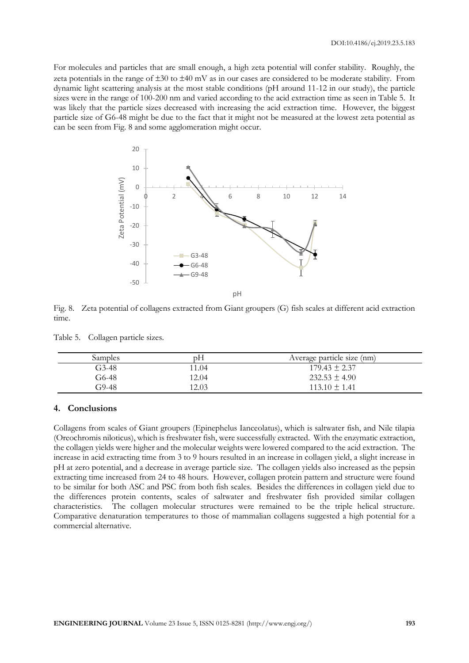For molecules and particles that are small enough, a high zeta potential will confer stability. Roughly, the zeta potentials in the range of  $\pm 30$  to  $\pm 40$  mV as in our cases are considered to be moderate stability. From dynamic light scattering analysis at the most stable conditions (pH around 11-12 in our study), the particle sizes were in the range of 100-200 nm and varied according to the acid extraction time as seen in Table 5. It was likely that the particle sizes decreased with increasing the acid extraction time. However, the biggest particle size of G6-48 might be due to the fact that it might not be measured at the lowest zeta potential as can be seen from Fig. 8 and some agglomeration might occur.



Fig. 8. Zeta potential of collagens extracted from Giant groupers (G) fish scales at different acid extraction time.

| Table 5. | Collagen particle sizes. |  |
|----------|--------------------------|--|
|          |                          |  |

| Samples | ŋН    | Average particle size (nm) |
|---------|-------|----------------------------|
| G3-48   | 1.04  | $179.43 \pm 2.37$          |
| G6-48   | 12.04 | $232.53 \pm 4.90$          |
| 79-48   | 12.03 | $113.10 \pm 1.41$          |

## **4. Conclusions**

Collagens from scales of Giant groupers (Epinephelus Ianceolatus), which is saltwater fish, and Nile tilapia (Oreochromis niloticus), which is freshwater fish, were successfully extracted. With the enzymatic extraction, the collagen yields were higher and the molecular weights were lowered compared to the acid extraction. The increase in acid extracting time from 3 to 9 hours resulted in an increase in collagen yield, a slight increase in pH at zero potential, and a decrease in average particle size. The collagen yields also increased as the pepsin extracting time increased from 24 to 48 hours. However, collagen protein pattern and structure were found to be similar for both ASC and PSC from both fish scales. Besides the differences in collagen yield due to the differences protein contents, scales of saltwater and freshwater fish provided similar collagen characteristics. The collagen molecular structures were remained to be the triple helical structure. Comparative denaturation temperatures to those of mammalian collagens suggested a high potential for a commercial alternative.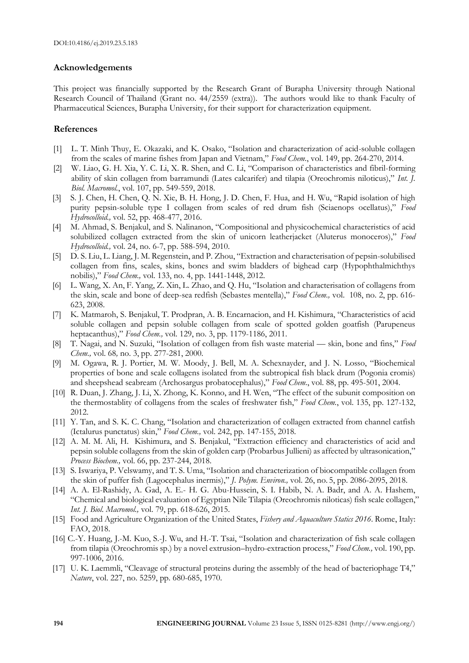# **Acknowledgements**

This project was financially supported by the Research Grant of Burapha University through National Research Council of Thailand (Grant no. 44/2559 (extra)). The authors would like to thank Faculty of Pharmaceutical Sciences, Burapha University, for their support for characterization equipment.

## **References**

- L. T. Minh Thuy, E. Okazaki, and K. Osako, "Isolation and characterization of acid-soluble collagen from the scales of marine fishes from Japan and Vietnam," *Food Chem.*, vol. 149, pp. 264-270, 2014.
- [2] W. Liao, G. H. Xia, Y. C. Li, X. R. Shen, and C. Li, "Comparison of characteristics and fibril-forming ability of skin collagen from barramundi (Lates calcarifer) and tilapia (Oreochromis niloticus)," *Int. J. Biol. Macromol.*, vol. 107, pp. 549-559, 2018.
- [3] S. J. Chen, H. Chen, Q. N. Xie, B. H. Hong, J. D. Chen, F. Hua, and H. Wu, "Rapid isolation of high purity pepsin-soluble type I collagen from scales of red drum fish (Sciaenops ocellatus)," *Food Hydrocolloid.,* vol. 52, pp. 468-477, 2016.
- [4] M. Ahmad, S. Benjakul, and S. Nalinanon, "Compositional and physicochemical characteristics of acid solubilized collagen extracted from the skin of unicorn leatherjacket (Aluterus monoceros)," *Food Hydrocolloid.,* vol. 24, no. 6-7, pp. 588-594, 2010.
- [5] D. S. Liu, L. Liang, J. M. Regenstein, and P. Zhou, "Extraction and characterisation of pepsin-solubilised collagen from fins, scales, skins, bones and swim bladders of bighead carp (Hypophthalmichthys nobilis)," *Food Chem.,* vol. 133, no. 4, pp. 1441-1448, 2012.
- [6] L. Wang, X. An, F. Yang, Z. Xin, L. Zhao, and Q. Hu, "Isolation and characterisation of collagens from the skin, scale and bone of deep-sea redfish (Sebastes mentella)," *Food Chem.,* vol. 108, no. 2, pp. 616- 623, 2008.
- [7] K. Matmaroh, S. Benjakul, T. Prodpran, A. B. Encarnacion, and H. Kishimura, "Characteristics of acid soluble collagen and pepsin soluble collagen from scale of spotted golden goatfish (Parupeneus heptacanthus)," *Food Chem.,* vol. 129, no. 3, pp. 1179-1186, 2011.
- [8] T. Nagai, and N. Suzuki, "Isolation of collagen from fish waste material skin, bone and fins," *Food Chem.,* vol. 68*,* no. 3, pp. 277-281, 2000.
- [9] M. Ogawa, R. J. Portier, M. W. Moody, J. Bell, M. A. Schexnayder, and J. N. Losso, "Biochemical properties of bone and scale collagens isolated from the subtropical fish black drum (Pogonia cromis) and sheepshead seabream (Archosargus probatocephalus)," *Food Chem.*, vol. 88, pp. 495-501, 2004.
- [10] R. Duan, J. Zhang, J. Li, X. Zhong, K. Konno, and H. Wen, "The effect of the subunit composition on the thermostablity of collagens from the scales of freshwater fish," *Food Chem.*, vol. 135, pp. 127-132, 2012.
- [11] Y. Tan, and S. K. C. Chang, "Isolation and characterization of collagen extracted from channel catfish (Ictalurus punctatus) skin," *Food Chem.,* vol. 242, pp. 147-155, 2018.
- [12] A. M. M. Ali, H. Kishimura, and S. Benjakul, "Extraction efficiency and characteristics of acid and pepsin soluble collagens from the skin of golden carp (Probarbus Jullieni) as affected by ultrasonication," *Process Biochem.,* vol. 66, pp. 237-244, 2018.
- [13] S. Iswariya, P. Velswamy, and T. S. Uma, "Isolation and characterization of biocompatible collagen from the skin of puffer fish (Lagocephalus inermis)," *J. Polym. Environ.,* vol. 26, no. 5, pp. 2086-2095, 2018.
- [14] A. A. El-Rashidy, A. Gad, A. E.- H. G. Abu-Hussein, S. I. Habib, N. A. Badr, and A. A. Hashem, "Chemical and biological evaluation of Egyptian Nile Tilapia (Oreochromis niloticas) fish scale collagen," *Int. J. Biol. Macromol.,* vol. 79, pp. 618-626, 2015.
- [15] Food and Agriculture Organization of the United States, *Fishery and Aquaculture Statics 2016*. Rome, Italy: FAO, 2018.
- [16] C.-Y. Huang, J.-M. Kuo, S.-J. Wu, and H.-T. Tsai, "Isolation and characterization of fish scale collagen from tilapia (Oreochromis sp.) by a novel extrusion–hydro-extraction process," *Food Chem.,* vol. 190, pp. 997-1006, 2016.
- [17] U. K. Laemmli, "Cleavage of structural proteins during the assembly of the head of bacteriophage T4," *Nature*, vol. 227, no. 5259, pp. 680-685, 1970.